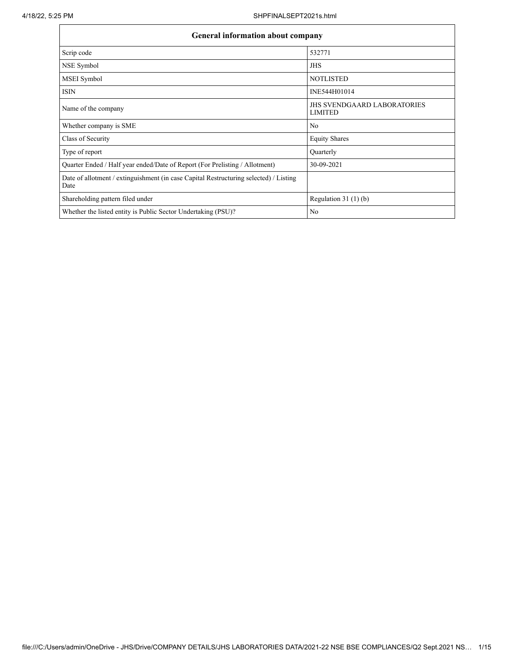| <b>General information about company</b>                                                      |                                                      |
|-----------------------------------------------------------------------------------------------|------------------------------------------------------|
| Scrip code                                                                                    | 532771                                               |
| NSE Symbol                                                                                    | <b>JHS</b>                                           |
| MSEI Symbol                                                                                   | <b>NOTLISTED</b>                                     |
| <b>ISIN</b>                                                                                   | INE544H01014                                         |
| Name of the company                                                                           | <b>JHS SVENDGAARD LABORATORIES</b><br><b>LIMITED</b> |
| Whether company is SME                                                                        | No                                                   |
| Class of Security                                                                             | <b>Equity Shares</b>                                 |
| Type of report                                                                                | Quarterly                                            |
| Quarter Ended / Half year ended/Date of Report (For Prelisting / Allotment)                   | 30-09-2021                                           |
| Date of allotment / extinguishment (in case Capital Restructuring selected) / Listing<br>Date |                                                      |
| Shareholding pattern filed under                                                              | Regulation $31(1)(b)$                                |
| Whether the listed entity is Public Sector Undertaking (PSU)?                                 | No                                                   |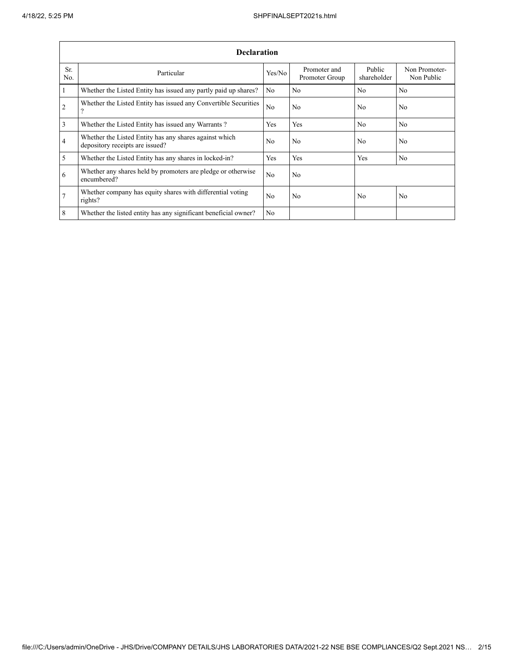|                | <b>Declaration</b>                                                                        |                |                                |                       |                             |  |  |  |  |  |  |  |
|----------------|-------------------------------------------------------------------------------------------|----------------|--------------------------------|-----------------------|-----------------------------|--|--|--|--|--|--|--|
| Sr.<br>No.     | Particular                                                                                | Yes/No         | Promoter and<br>Promoter Group | Public<br>shareholder | Non Promoter-<br>Non Public |  |  |  |  |  |  |  |
| $\mathbf{1}$   | Whether the Listed Entity has issued any partly paid up shares?                           | No             | N <sub>0</sub>                 | N <sub>0</sub>        | N <sub>0</sub>              |  |  |  |  |  |  |  |
| $\overline{2}$ | Whether the Listed Entity has issued any Convertible Securities<br>ີ                      | No             | No                             | N <sub>0</sub>        | N <sub>0</sub>              |  |  |  |  |  |  |  |
| 3              | Whether the Listed Entity has issued any Warrants?                                        | Yes            | <b>Yes</b>                     | No                    | N <sub>0</sub>              |  |  |  |  |  |  |  |
| 4              | Whether the Listed Entity has any shares against which<br>depository receipts are issued? | No             | No                             | No                    | No                          |  |  |  |  |  |  |  |
| 5              | Whether the Listed Entity has any shares in locked-in?                                    | Yes            | Yes                            | Yes                   | No                          |  |  |  |  |  |  |  |
| 6              | Whether any shares held by promoters are pledge or otherwise<br>encumbered?               | No             | No                             |                       |                             |  |  |  |  |  |  |  |
| $\overline{7}$ | Whether company has equity shares with differential voting<br>rights?                     | N <sub>0</sub> | No                             | N <sub>0</sub>        | No                          |  |  |  |  |  |  |  |
| 8              | Whether the listed entity has any significant beneficial owner?                           | No             |                                |                       |                             |  |  |  |  |  |  |  |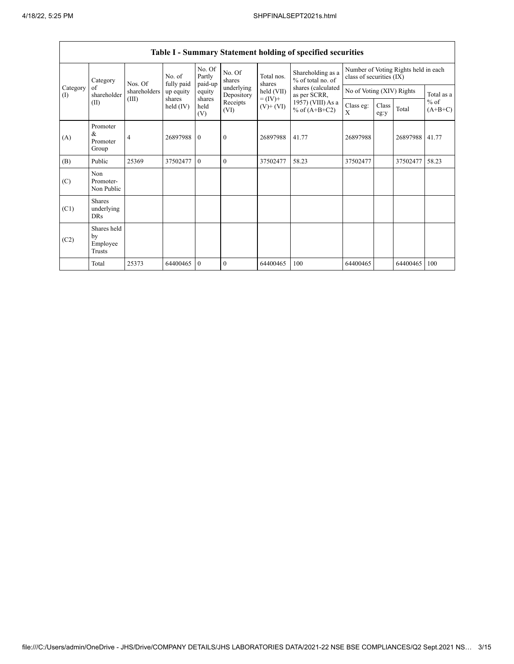|                 | Category<br>Nos. Of                       | No. of<br>fully paid  | No. Of<br>Partly<br>paid-up | No. Of<br>shares      | Total nos.<br>shares     | Shareholding as a<br>% of total no. of | Number of Voting Rights held in each<br>class of securities (IX) |                           |               |          |                                   |
|-----------------|-------------------------------------------|-----------------------|-----------------------------|-----------------------|--------------------------|----------------------------------------|------------------------------------------------------------------|---------------------------|---------------|----------|-----------------------------------|
| Category<br>(I) | of<br>shareholder                         | shareholders<br>(III) | up equity                   | equity                | underlying<br>Depository | held (VII)                             | shares (calculated<br>as per SCRR,                               | No of Voting (XIV) Rights |               |          | Total as a<br>$%$ of<br>$(A+B+C)$ |
|                 | (II)                                      |                       | shares<br>held (IV)         | shares<br>held<br>(V) | Receipts<br>(VI)         | $= (IV) +$<br>$(V)$ + $(VI)$           | 1957) (VIII) As a<br>% of $(A+B+C2)$                             | Class eg:<br>X            | Class<br>eg:y | Total    |                                   |
| (A)             | Promoter<br>&<br>Promoter<br>Group        | $\overline{4}$        | 26897988                    | $\overline{0}$        | $\mathbf{0}$             | 26897988                               | 41.77                                                            | 26897988                  |               | 26897988 | 41.77                             |
| (B)             | Public                                    | 25369                 | 37502477                    | $\theta$              | $\theta$                 | 37502477                               | 58.23                                                            | 37502477                  |               | 37502477 | 58.23                             |
| (C)             | Non<br>Promoter-<br>Non Public            |                       |                             |                       |                          |                                        |                                                                  |                           |               |          |                                   |
| (C1)            | <b>Shares</b><br>underlying<br><b>DRs</b> |                       |                             |                       |                          |                                        |                                                                  |                           |               |          |                                   |
| (C2)            | Shares held<br>by<br>Employee<br>Trusts   |                       |                             |                       |                          |                                        |                                                                  |                           |               |          |                                   |
|                 | Total                                     | 25373                 | 64400465                    | $\mathbf{0}$          | $\theta$                 | 64400465                               | 100                                                              | 64400465                  |               | 64400465 | 100                               |

## **Table I - Summary Statement holding of specified securities**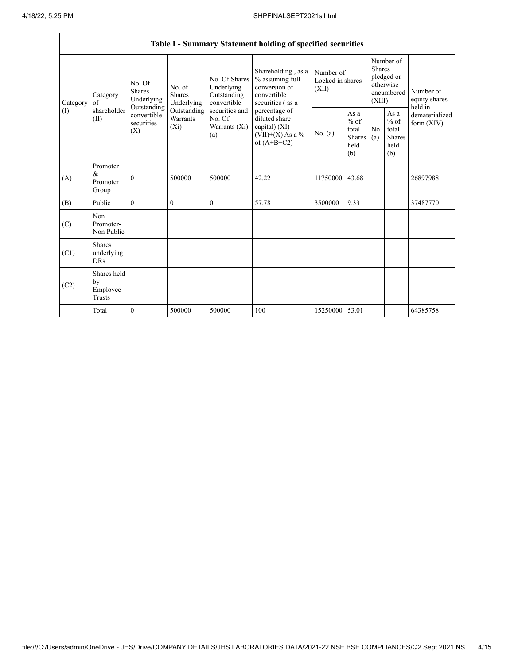|          |                                                                                                                                   |                                    |                                                  |                                                                                         | Table I - Summary Statement holding of specified securities |                                                                                           |                                        |                                                         |                                                                               |          |                                       |
|----------|-----------------------------------------------------------------------------------------------------------------------------------|------------------------------------|--------------------------------------------------|-----------------------------------------------------------------------------------------|-------------------------------------------------------------|-------------------------------------------------------------------------------------------|----------------------------------------|---------------------------------------------------------|-------------------------------------------------------------------------------|----------|---------------------------------------|
| Category | No. Of<br><b>Shares</b><br>Category<br>Underlying<br>of<br>Outstanding<br>shareholder<br>convertible<br>(II)<br>securities<br>(X) |                                    |                                                  | No. of<br>Shares<br>Underlying                                                          | No. Of Shares<br>Underlying<br>Outstanding<br>convertible   | Shareholding, as a<br>% assuming full<br>conversion of<br>convertible<br>securities (as a | Number of<br>Locked in shares<br>(XII) |                                                         | Number of<br><b>Shares</b><br>pledged or<br>otherwise<br>encumbered<br>(XIII) |          | Number of<br>equity shares<br>held in |
| (1)      |                                                                                                                                   | Outstanding<br>Warrants<br>$(X_i)$ | securities and<br>No. Of<br>Warrants (Xi)<br>(a) | percentage of<br>diluted share<br>capital) (XI)=<br>$(VII)+(X)$ As a %<br>of $(A+B+C2)$ | No. (a)                                                     | As a<br>$%$ of<br>total<br>Shares<br>held<br>(b)                                          | No.<br>(a)                             | As a<br>$%$ of<br>total<br><b>Shares</b><br>held<br>(b) | dematerialized<br>form $(XIV)$                                                |          |                                       |
| (A)      | Promoter<br>&<br>Promoter<br>Group                                                                                                | $\mathbf{0}$                       | 500000                                           | 500000                                                                                  | 42.22                                                       | 11750000                                                                                  | 43.68                                  |                                                         |                                                                               | 26897988 |                                       |
| (B)      | Public                                                                                                                            | $\theta$                           | $\theta$                                         | $\theta$                                                                                | 57.78                                                       | 3500000                                                                                   | 9.33                                   |                                                         |                                                                               | 37487770 |                                       |
| (C)      | Non<br>Promoter-<br>Non Public                                                                                                    |                                    |                                                  |                                                                                         |                                                             |                                                                                           |                                        |                                                         |                                                                               |          |                                       |
| (C1)     | <b>Shares</b><br>underlying<br><b>DRs</b>                                                                                         |                                    |                                                  |                                                                                         |                                                             |                                                                                           |                                        |                                                         |                                                                               |          |                                       |
| (C2)     | Shares held<br>by<br>Employee<br>Trusts                                                                                           |                                    |                                                  |                                                                                         |                                                             |                                                                                           |                                        |                                                         |                                                                               |          |                                       |
|          | Total                                                                                                                             | $\mathbf{0}$                       | 500000                                           | 500000                                                                                  | 100                                                         | 15250000 53.01                                                                            |                                        |                                                         |                                                                               | 64385758 |                                       |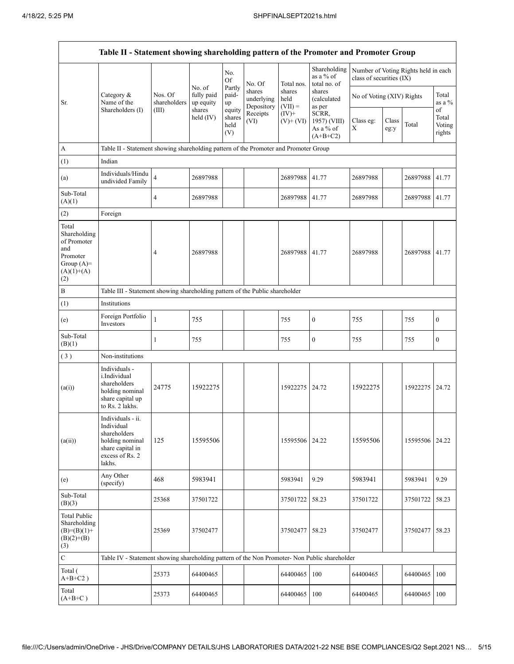|                                                                                                | Table II - Statement showing shareholding pattern of the Promoter and Promoter Group                                |                          |                                             |                                 |                                    |                             |                                                  |                                                                  |               |                |                           |
|------------------------------------------------------------------------------------------------|---------------------------------------------------------------------------------------------------------------------|--------------------------|---------------------------------------------|---------------------------------|------------------------------------|-----------------------------|--------------------------------------------------|------------------------------------------------------------------|---------------|----------------|---------------------------|
|                                                                                                |                                                                                                                     |                          |                                             | No.<br>Of<br>Partly             | No. Of                             | Total nos.                  | Shareholding<br>as a % of<br>total no. of        | Number of Voting Rights held in each<br>class of securities (IX) |               |                |                           |
| Sr.                                                                                            | Category &<br>Name of the<br>Shareholders (I)                                                                       | Nos. Of<br>shareholders  | No. of<br>fully paid<br>up equity<br>shares | paid-<br>up                     | shares<br>underlying<br>Depository | shares<br>held<br>$(VII) =$ | shares<br>(calculated<br>as per                  | No of Voting (XIV) Rights                                        |               |                | Total<br>as a %<br>of     |
|                                                                                                |                                                                                                                     | (III)                    | held $(IV)$                                 | equity<br>shares<br>held<br>(V) | Receipts<br>(VI)                   | $(IV)+$<br>$(V)$ + $(VI)$   | SCRR,<br>1957) (VIII)<br>As a % of<br>$(A+B+C2)$ | Class eg:<br>Χ                                                   | Class<br>eg:y | Total          | Total<br>Voting<br>rights |
| A                                                                                              | Table II - Statement showing shareholding pattern of the Promoter and Promoter Group                                |                          |                                             |                                 |                                    |                             |                                                  |                                                                  |               |                |                           |
| (1)                                                                                            | Indian                                                                                                              |                          |                                             |                                 |                                    |                             |                                                  |                                                                  |               |                |                           |
| (a)                                                                                            | Individuals/Hindu<br>undivided Family                                                                               | $\overline{\mathcal{L}}$ | 26897988                                    |                                 |                                    | 26897988                    | 41.77                                            | 26897988                                                         |               | 26897988       | 41.77                     |
| Sub-Total<br>(A)(1)                                                                            |                                                                                                                     | 4                        | 26897988                                    |                                 |                                    | 26897988                    | 41.77                                            | 26897988                                                         |               | 26897988       | 41.77                     |
| (2)                                                                                            | Foreign                                                                                                             |                          |                                             |                                 |                                    |                             |                                                  |                                                                  |               |                |                           |
| Total<br>Shareholding<br>of Promoter<br>and<br>Promoter<br>Group $(A)=$<br>$(A)(1)+(A)$<br>(2) |                                                                                                                     | 4                        | 26897988                                    |                                 |                                    | 26897988 41.77              |                                                  | 26897988                                                         |               | 26897988       | 41.77                     |
| B                                                                                              | Table III - Statement showing shareholding pattern of the Public shareholder                                        |                          |                                             |                                 |                                    |                             |                                                  |                                                                  |               |                |                           |
| (1)                                                                                            | Institutions                                                                                                        |                          |                                             |                                 |                                    |                             |                                                  |                                                                  |               |                |                           |
| (e)                                                                                            | Foreign Portfolio<br>Investors                                                                                      | $\mathbf{1}$             | 755                                         |                                 |                                    | 755                         | $\boldsymbol{0}$                                 | 755                                                              |               | 755            | $\boldsymbol{0}$          |
| Sub-Total<br>(B)(1)                                                                            |                                                                                                                     | 1                        | 755                                         |                                 |                                    | 755                         | $\boldsymbol{0}$                                 | 755                                                              |               | 755            | $\boldsymbol{0}$          |
| (3)                                                                                            | Non-institutions                                                                                                    |                          |                                             |                                 |                                    |                             |                                                  |                                                                  |               |                |                           |
| (a(i))                                                                                         | Individuals -<br>i.Individual<br>shareholders<br>holding nominal<br>share capital up<br>to Rs. 2 lakhs.             | 24775                    | 15922275                                    |                                 |                                    | 15922275                    | 24.72                                            | 15922275                                                         |               | 15922275       | 24.72                     |
| (a(ii))                                                                                        | Individuals - ii.<br>Individual<br>shareholders<br>holding nominal<br>share capital in<br>excess of Rs. 2<br>lakhs. | 125                      | 15595506                                    |                                 |                                    | 15595506 24.22              |                                                  | 15595506                                                         |               | 15595506 24.22 |                           |
| (e)                                                                                            | Any Other<br>(specify)                                                                                              | 468                      | 5983941                                     |                                 |                                    | 5983941                     | 9.29                                             | 5983941                                                          |               | 5983941        | 9.29                      |
| Sub-Total<br>(B)(3)                                                                            |                                                                                                                     | 25368                    | 37501722                                    |                                 |                                    | 37501722                    | 58.23                                            | 37501722                                                         |               | 37501722       | 58.23                     |
| Total Public<br>Shareholding<br>$(B)=(B)(1)+$<br>$(B)(2)+(B)$<br>(3)                           |                                                                                                                     | 25369                    | 37502477                                    |                                 |                                    | 37502477 58.23              |                                                  | 37502477                                                         |               | 37502477       | 58.23                     |
| $\mathbf C$                                                                                    | Table IV - Statement showing shareholding pattern of the Non Promoter- Non Public shareholder                       |                          |                                             |                                 |                                    |                             |                                                  |                                                                  |               |                |                           |
| Total (<br>$A+B+C2$ )                                                                          |                                                                                                                     | 25373                    | 64400465                                    |                                 |                                    | 64400465                    | 100                                              | 64400465                                                         |               | 64400465       | 100                       |
| Total<br>$(A+B+C)$                                                                             |                                                                                                                     | 25373                    | 64400465                                    |                                 |                                    | 64400465                    | 100                                              | 64400465                                                         |               | 64400465       | 100                       |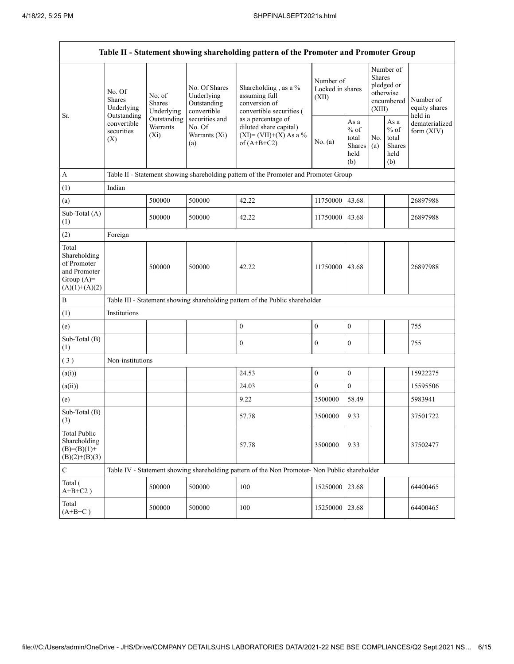|                                                                                         |                                                      |                                       |                                                           | Table II - Statement showing shareholding pattern of the Promoter and Promoter Group          |                                        |                                                            |                                                                        |                                                  |                                       |  |
|-----------------------------------------------------------------------------------------|------------------------------------------------------|---------------------------------------|-----------------------------------------------------------|-----------------------------------------------------------------------------------------------|----------------------------------------|------------------------------------------------------------|------------------------------------------------------------------------|--------------------------------------------------|---------------------------------------|--|
| Sr.                                                                                     | No. Of<br><b>Shares</b><br>Underlying<br>Outstanding | No. of<br><b>Shares</b><br>Underlying | No. Of Shares<br>Underlying<br>Outstanding<br>convertible | Shareholding, as a %<br>assuming full<br>conversion of<br>convertible securities (            | Number of<br>Locked in shares<br>(XII) |                                                            | Number of<br>Shares<br>pledged or<br>otherwise<br>encumbered<br>(XIII) |                                                  | Number of<br>equity shares<br>held in |  |
|                                                                                         | convertible<br>securities<br>(X)                     | Outstanding<br>Warrants<br>$(X_i)$    | securities and<br>No. Of<br>Warrants (Xi)<br>(a)          | as a percentage of<br>diluted share capital)<br>$(XI) = (VII)+(X) As a %$<br>of $(A+B+C2)$    | No. (a)                                | As $\mathbf a$<br>$%$ of<br>total<br>Shares<br>held<br>(b) | No.<br>(a)                                                             | As a<br>$%$ of<br>total<br>Shares<br>held<br>(b) | dematerialized<br>form $(XIV)$        |  |
| $\boldsymbol{A}$                                                                        |                                                      |                                       |                                                           | Table II - Statement showing shareholding pattern of the Promoter and Promoter Group          |                                        |                                                            |                                                                        |                                                  |                                       |  |
| (1)                                                                                     | Indian                                               |                                       |                                                           |                                                                                               |                                        |                                                            |                                                                        |                                                  |                                       |  |
| (a)                                                                                     |                                                      | 500000                                | 500000                                                    | 42.22                                                                                         | 11750000 43.68                         |                                                            |                                                                        |                                                  | 26897988                              |  |
| Sub-Total (A)<br>(1)                                                                    |                                                      | 500000                                | 500000                                                    | 42.22                                                                                         | 11750000 43.68                         |                                                            |                                                                        |                                                  | 26897988                              |  |
| (2)                                                                                     | Foreign                                              |                                       |                                                           |                                                                                               |                                        |                                                            |                                                                        |                                                  |                                       |  |
| Total<br>Shareholding<br>of Promoter<br>and Promoter<br>Group $(A)=$<br>$(A)(1)+(A)(2)$ |                                                      | 500000                                | 500000                                                    | 42.22                                                                                         | 11750000 43.68                         |                                                            |                                                                        |                                                  | 26897988                              |  |
| $\, {\bf B}$                                                                            |                                                      |                                       |                                                           | Table III - Statement showing shareholding pattern of the Public shareholder                  |                                        |                                                            |                                                                        |                                                  |                                       |  |
| (1)                                                                                     | Institutions                                         |                                       |                                                           |                                                                                               |                                        |                                                            |                                                                        |                                                  |                                       |  |
| (e)                                                                                     |                                                      |                                       |                                                           | $\mathbf{0}$                                                                                  | $\boldsymbol{0}$                       | $\boldsymbol{0}$                                           |                                                                        |                                                  | 755                                   |  |
| Sub-Total (B)<br>(1)                                                                    |                                                      |                                       |                                                           | $\boldsymbol{0}$                                                                              | 0                                      | $\boldsymbol{0}$                                           |                                                                        |                                                  | 755                                   |  |
| (3)                                                                                     | Non-institutions                                     |                                       |                                                           |                                                                                               |                                        |                                                            |                                                                        |                                                  |                                       |  |
| (a(i))                                                                                  |                                                      |                                       |                                                           | 24.53                                                                                         | $\boldsymbol{0}$                       | $\boldsymbol{0}$                                           |                                                                        |                                                  | 15922275                              |  |
| (a(ii))                                                                                 |                                                      |                                       |                                                           | 24.03                                                                                         | $\overline{0}$                         | $\overline{0}$                                             |                                                                        |                                                  | 15595506                              |  |
| (e)                                                                                     |                                                      |                                       |                                                           | 9.22                                                                                          | 3500000                                | 58.49                                                      |                                                                        |                                                  | 5983941                               |  |
| Sub-Total (B)<br>(3)                                                                    |                                                      |                                       |                                                           | 57.78                                                                                         | 3500000                                | 9.33                                                       |                                                                        |                                                  | 37501722                              |  |
| <b>Total Public</b><br>Shareholding<br>$(B)=(B)(1)+$<br>$(B)(2)+(B)(3)$                 |                                                      |                                       |                                                           | 57.78                                                                                         | 3500000                                | 9.33                                                       |                                                                        |                                                  | 37502477                              |  |
| $\mathbf C$                                                                             |                                                      |                                       |                                                           | Table IV - Statement showing shareholding pattern of the Non Promoter- Non Public shareholder |                                        |                                                            |                                                                        |                                                  |                                       |  |
| Total (<br>$A+B+C2$ )                                                                   |                                                      | 500000                                | 500000                                                    | 100                                                                                           | 15250000                               | 23.68                                                      |                                                                        |                                                  | 64400465                              |  |
| Total<br>$(A+B+C)$                                                                      |                                                      | 500000                                | 500000                                                    | 100                                                                                           | 15250000 23.68                         |                                                            |                                                                        |                                                  | 64400465                              |  |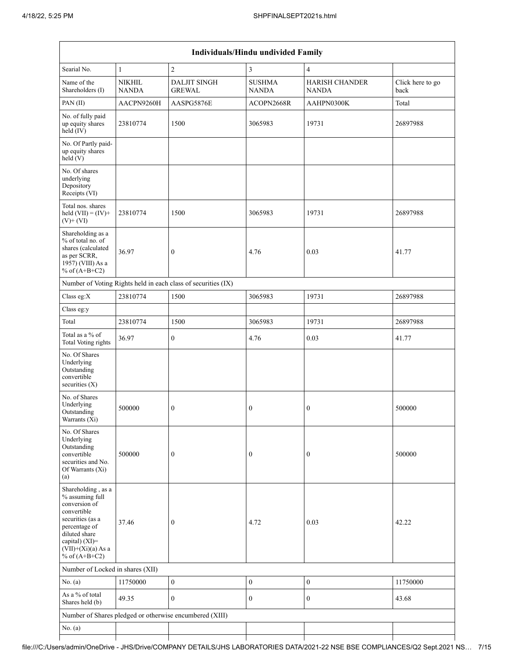|                                                                                                                                                                                          | Individuals/Hindu undivided Family |                                                               |                        |                                |                          |  |  |  |  |  |  |
|------------------------------------------------------------------------------------------------------------------------------------------------------------------------------------------|------------------------------------|---------------------------------------------------------------|------------------------|--------------------------------|--------------------------|--|--|--|--|--|--|
| Searial No.                                                                                                                                                                              | $\mathbf{1}$                       | $\overline{c}$                                                | 3                      | 4                              |                          |  |  |  |  |  |  |
| Name of the<br>Shareholders (I)                                                                                                                                                          | <b>NIKHIL</b><br><b>NANDA</b>      | <b>DALJIT SINGH</b><br><b>GREWAL</b>                          | <b>SUSHMA</b><br>NANDA | <b>HARISH CHANDER</b><br>NANDA | Click here to go<br>back |  |  |  |  |  |  |
| PAN(II)                                                                                                                                                                                  | AACPN9260H                         | AASPG5876E                                                    | ACOPN2668R             | AAHPN0300K                     | Total                    |  |  |  |  |  |  |
| No. of fully paid<br>up equity shares<br>held (IV)                                                                                                                                       | 23810774                           | 1500                                                          | 3065983                | 19731                          | 26897988                 |  |  |  |  |  |  |
| No. Of Partly paid-<br>up equity shares<br>held(V)                                                                                                                                       |                                    |                                                               |                        |                                |                          |  |  |  |  |  |  |
| No. Of shares<br>underlying<br>Depository<br>Receipts (VI)                                                                                                                               |                                    |                                                               |                        |                                |                          |  |  |  |  |  |  |
| Total nos. shares<br>held $(VII) = (IV) +$<br>$(V)$ + $(VI)$                                                                                                                             | 23810774                           | 1500                                                          | 3065983                | 19731                          | 26897988                 |  |  |  |  |  |  |
| Shareholding as a<br>% of total no. of<br>shares (calculated<br>as per SCRR,<br>1957) (VIII) As a<br>% of $(A+B+C2)$                                                                     | 36.97                              | $\boldsymbol{0}$                                              | 4.76                   | 0.03                           | 41.77                    |  |  |  |  |  |  |
|                                                                                                                                                                                          |                                    | Number of Voting Rights held in each class of securities (IX) |                        |                                |                          |  |  |  |  |  |  |
| Class eg:X                                                                                                                                                                               | 23810774                           | 1500                                                          | 3065983                | 19731                          | 26897988                 |  |  |  |  |  |  |
| Class eg:y                                                                                                                                                                               |                                    |                                                               |                        |                                |                          |  |  |  |  |  |  |
| Total                                                                                                                                                                                    | 23810774                           | 1500                                                          | 3065983                | 19731                          | 26897988                 |  |  |  |  |  |  |
| Total as a % of<br><b>Total Voting rights</b>                                                                                                                                            | 36.97                              | $\boldsymbol{0}$                                              | 4.76                   | 0.03                           | 41.77                    |  |  |  |  |  |  |
| No. Of Shares<br>Underlying<br>Outstanding<br>convertible<br>securities $(X)$                                                                                                            |                                    |                                                               |                        |                                |                          |  |  |  |  |  |  |
| No. of Shares<br>Underlying<br>Outstanding<br>Warrants (Xi)                                                                                                                              | 500000                             | $\boldsymbol{0}$                                              | 0                      | $\boldsymbol{0}$               | 500000                   |  |  |  |  |  |  |
| No. Of Shares<br>Underlying<br>Outstanding<br>convertible<br>securities and No.<br>Of Warrants (Xi)<br>(a)                                                                               | 500000                             | $\mathbf{0}$                                                  | $\boldsymbol{0}$       | 0                              | 500000                   |  |  |  |  |  |  |
| Shareholding, as a<br>% assuming full<br>conversion of<br>convertible<br>securities (as a<br>percentage of<br>diluted share<br>capital) (XI)=<br>$(VII)+(Xi)(a)$ As a<br>% of $(A+B+C2)$ | 37.46                              | $\mathbf{0}$                                                  | 4.72                   | 0.03                           | 42.22                    |  |  |  |  |  |  |
| Number of Locked in shares (XII)                                                                                                                                                         |                                    |                                                               |                        |                                |                          |  |  |  |  |  |  |
| No. $(a)$                                                                                                                                                                                | 11750000                           | $\boldsymbol{0}$                                              | $\boldsymbol{0}$       | $\boldsymbol{0}$               | 11750000                 |  |  |  |  |  |  |
| As a % of total<br>Shares held (b)                                                                                                                                                       | 49.35                              | $\mathbf{0}$                                                  | $\boldsymbol{0}$       | $\boldsymbol{0}$               | 43.68                    |  |  |  |  |  |  |
|                                                                                                                                                                                          |                                    | Number of Shares pledged or otherwise encumbered (XIII)       |                        |                                |                          |  |  |  |  |  |  |
| No. $(a)$                                                                                                                                                                                |                                    |                                                               |                        |                                |                          |  |  |  |  |  |  |
|                                                                                                                                                                                          |                                    |                                                               |                        |                                |                          |  |  |  |  |  |  |

## file:///C:/Users/admin/OneDrive - JHS/Drive/COMPANY DETAILS/JHS LABORATORIES DATA/2021-22 NSE BSE COMPLIANCES/Q2 Sept.2021 NS… 7/15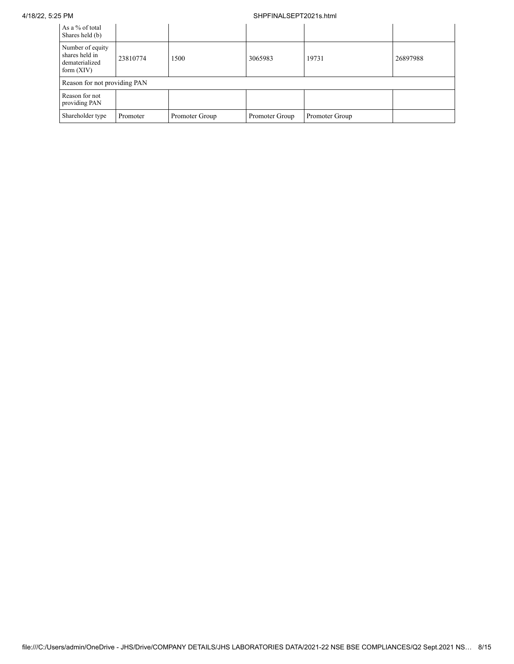## 4/18/22, 5:25 PM SHPFINALSEPT2021s.html

| As a % of total<br>Shares held (b)                                   |          |                |                |                |          |
|----------------------------------------------------------------------|----------|----------------|----------------|----------------|----------|
| Number of equity<br>shares held in<br>dematerialized<br>form $(XIV)$ | 23810774 | 1500           | 3065983        | 19731          | 26897988 |
| Reason for not providing PAN                                         |          |                |                |                |          |
| Reason for not<br>providing PAN                                      |          |                |                |                |          |
| Shareholder type                                                     | Promoter | Promoter Group | Promoter Group | Promoter Group |          |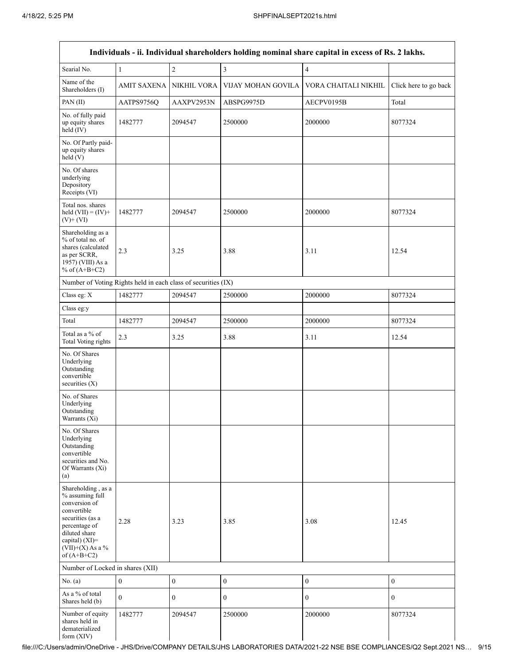|                                                                                                                                                                                      |                  |                  |                         | Individuals - ii. Individual shareholders holding nominal share capital in excess of Rs. 2 lakhs. |                       |
|--------------------------------------------------------------------------------------------------------------------------------------------------------------------------------------|------------------|------------------|-------------------------|---------------------------------------------------------------------------------------------------|-----------------------|
| Searial No.                                                                                                                                                                          | $\mathbf{1}$     | $\sqrt{2}$       | $\overline{\mathbf{3}}$ | $\overline{\mathbf{4}}$                                                                           |                       |
| Name of the<br>Shareholders (I)                                                                                                                                                      | AMIT SAXENA      | NIKHIL VORA      | VIJAY MOHAN GOVILA      | VORA CHAITALI NIKHIL                                                                              | Click here to go back |
| PAN(II)                                                                                                                                                                              | AATPS9756Q       | AAXPV2953N       | ABSPG9975D              | AECPV0195B                                                                                        | Total                 |
| No. of fully paid<br>up equity shares<br>held (IV)                                                                                                                                   | 1482777          | 2094547          | 2500000                 | 2000000                                                                                           | 8077324               |
| No. Of Partly paid-<br>up equity shares<br>held(V)                                                                                                                                   |                  |                  |                         |                                                                                                   |                       |
| No. Of shares<br>underlying<br>Depository<br>Receipts (VI)                                                                                                                           |                  |                  |                         |                                                                                                   |                       |
| Total nos. shares<br>held $(VII) = (IV) +$<br>$(V)$ + $(VI)$                                                                                                                         | 1482777          | 2094547          | 2500000                 | 2000000                                                                                           | 8077324               |
| Shareholding as a<br>% of total no. of<br>shares (calculated<br>as per SCRR,<br>1957) (VIII) As a<br>% of $(A+B+C2)$                                                                 | 2.3              | 3.25             | 3.88                    | 3.11                                                                                              | 12.54                 |
| Number of Voting Rights held in each class of securities (IX)                                                                                                                        |                  |                  |                         |                                                                                                   |                       |
| Class eg: X                                                                                                                                                                          | 1482777          | 2094547          | 2500000                 | 2000000                                                                                           | 8077324               |
| Class eg:y                                                                                                                                                                           |                  |                  |                         |                                                                                                   |                       |
| Total                                                                                                                                                                                | 1482777          | 2094547          | 2500000                 | 2000000                                                                                           | 8077324               |
| Total as a % of<br>Total Voting rights                                                                                                                                               | 2.3              | 3.25             | 3.88                    | 3.11                                                                                              | 12.54                 |
| No. Of Shares<br>Underlying<br>Outstanding<br>convertible<br>securities $(X)$                                                                                                        |                  |                  |                         |                                                                                                   |                       |
| No. of Shares<br>Underlying<br>Outstanding<br>Warrants (Xi)                                                                                                                          |                  |                  |                         |                                                                                                   |                       |
| No. Of Shares<br>Underlying<br>Outstanding<br>convertible<br>securities and No.<br>Of Warrants (Xi)<br>(a)                                                                           |                  |                  |                         |                                                                                                   |                       |
| Shareholding, as a<br>% assuming full<br>conversion of<br>convertible<br>securities (as a<br>percentage of<br>diluted share<br>capital) (XI)=<br>$(VII)+(X)$ As a %<br>of $(A+B+C2)$ | 2.28             | 3.23             | 3.85                    | 3.08                                                                                              | 12.45                 |
| Number of Locked in shares (XII)                                                                                                                                                     |                  |                  |                         |                                                                                                   |                       |
| No. $(a)$                                                                                                                                                                            | $\boldsymbol{0}$ | $\boldsymbol{0}$ | $\boldsymbol{0}$        | $\boldsymbol{0}$                                                                                  | $\boldsymbol{0}$      |
| As a % of total<br>Shares held (b)                                                                                                                                                   | $\overline{0}$   | $\boldsymbol{0}$ | $\boldsymbol{0}$        | $\boldsymbol{0}$                                                                                  | $\boldsymbol{0}$      |
| Number of equity<br>shares held in<br>dematerialized<br>form (XIV)                                                                                                                   | 1482777          | 2094547          | 2500000                 | 2000000                                                                                           | 8077324               |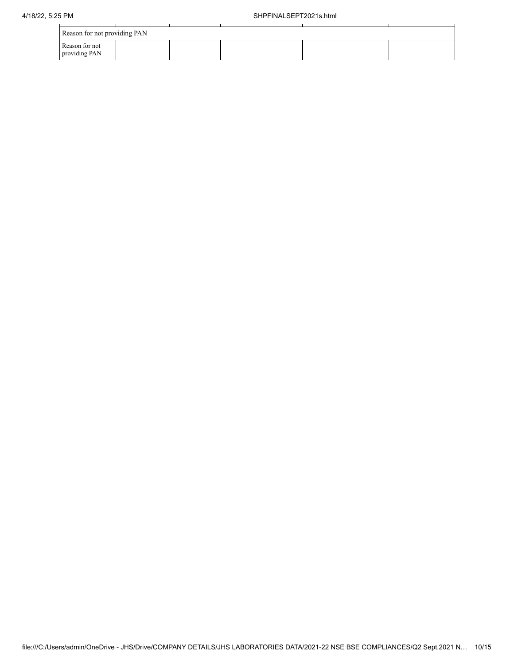| Reason for not providing PAN    |  |  |  |
|---------------------------------|--|--|--|
| Reason for not<br>providing PAN |  |  |  |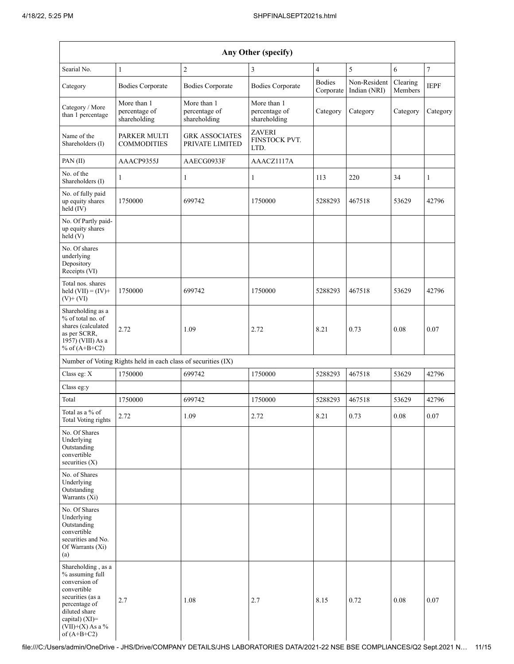|                                                                                                                                                                                      | Any Other (specify)                                           |                                              |                                              |                            |                              |                     |                |  |  |  |  |  |
|--------------------------------------------------------------------------------------------------------------------------------------------------------------------------------------|---------------------------------------------------------------|----------------------------------------------|----------------------------------------------|----------------------------|------------------------------|---------------------|----------------|--|--|--|--|--|
| Searial No.                                                                                                                                                                          | $\mathbf{1}$                                                  | $\overline{c}$                               | 3                                            | $\overline{4}$             | 5                            | 6                   | $\overline{7}$ |  |  |  |  |  |
| Category                                                                                                                                                                             | <b>Bodies Corporate</b>                                       | <b>Bodies Corporate</b>                      | <b>Bodies Corporate</b>                      | <b>Bodies</b><br>Corporate | Non-Resident<br>Indian (NRI) | Clearing<br>Members | <b>IEPF</b>    |  |  |  |  |  |
| Category / More<br>than 1 percentage                                                                                                                                                 | More than 1<br>percentage of<br>shareholding                  | More than 1<br>percentage of<br>shareholding | More than 1<br>percentage of<br>shareholding | Category                   | Category                     | Category            | Category       |  |  |  |  |  |
| Name of the<br>Shareholders (I)                                                                                                                                                      | PARKER MULTI<br><b>COMMODITIES</b>                            | <b>GRK ASSOCIATES</b><br>PRIVATE LIMITED     | <b>ZAVERI</b><br>FINSTOCK PVT.<br>LTD.       |                            |                              |                     |                |  |  |  |  |  |
| PAN(II)                                                                                                                                                                              | AAACP9355J                                                    | AAECG0933F                                   | AAACZ1117A                                   |                            |                              |                     |                |  |  |  |  |  |
| No. of the<br>Shareholders (I)                                                                                                                                                       | $\mathbf{1}$                                                  | $\mathbf{1}$                                 | 1                                            | 113                        | 220                          | 34                  | 1              |  |  |  |  |  |
| No. of fully paid<br>up equity shares<br>held (IV)                                                                                                                                   | 1750000                                                       | 699742                                       | 1750000                                      | 5288293                    | 467518                       | 53629               | 42796          |  |  |  |  |  |
| No. Of Partly paid-<br>up equity shares<br>held (V)                                                                                                                                  |                                                               |                                              |                                              |                            |                              |                     |                |  |  |  |  |  |
| No. Of shares<br>underlying<br>Depository<br>Receipts (VI)                                                                                                                           |                                                               |                                              |                                              |                            |                              |                     |                |  |  |  |  |  |
| Total nos. shares<br>held $(VII) = (IV) +$<br>$(V)$ + $(VI)$                                                                                                                         | 1750000                                                       | 699742                                       | 1750000                                      | 5288293                    | 467518                       | 53629               | 42796          |  |  |  |  |  |
| Shareholding as a<br>% of total no. of<br>shares (calculated<br>as per SCRR,<br>1957) (VIII) As a<br>% of $(A+B+C2)$                                                                 | 2.72                                                          | 1.09                                         | 2.72                                         | 8.21                       | 0.73                         | 0.08                | 0.07           |  |  |  |  |  |
|                                                                                                                                                                                      | Number of Voting Rights held in each class of securities (IX) |                                              |                                              |                            |                              |                     |                |  |  |  |  |  |
| Class eg: X                                                                                                                                                                          | 1750000                                                       | 699742                                       | 1750000                                      | 5288293                    | 467518                       | 53629               | 42796          |  |  |  |  |  |
| Class eg:y                                                                                                                                                                           |                                                               |                                              |                                              |                            |                              |                     |                |  |  |  |  |  |
| Total                                                                                                                                                                                | 1750000                                                       | 699742                                       | 1750000                                      | 5288293                    | 467518                       | 53629               | 42796          |  |  |  |  |  |
| Total as a % of<br>Total Voting rights                                                                                                                                               | 2.72                                                          | 1.09                                         | 2.72                                         | 8.21                       | 0.73                         | $0.08\,$            | $0.07\,$       |  |  |  |  |  |
| No. Of Shares<br>Underlying<br>Outstanding<br>convertible<br>securities (X)                                                                                                          |                                                               |                                              |                                              |                            |                              |                     |                |  |  |  |  |  |
| No. of Shares<br>Underlying<br>Outstanding<br>Warrants $(X_i)$                                                                                                                       |                                                               |                                              |                                              |                            |                              |                     |                |  |  |  |  |  |
| No. Of Shares<br>Underlying<br>Outstanding<br>convertible<br>securities and No.<br>Of Warrants (Xi)<br>(a)                                                                           |                                                               |                                              |                                              |                            |                              |                     |                |  |  |  |  |  |
| Shareholding, as a<br>% assuming full<br>conversion of<br>convertible<br>securities (as a<br>percentage of<br>diluted share<br>capital) (XI)=<br>$(VII)+(X)$ As a %<br>of $(A+B+C2)$ | 2.7                                                           | 1.08                                         | 2.7                                          | 8.15                       | 0.72                         | 0.08                | 0.07           |  |  |  |  |  |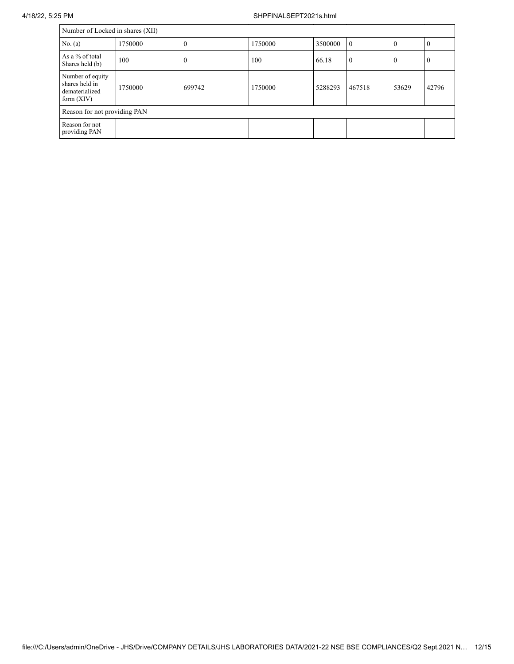|                                                                      | Number of Locked in shares (XII) |          |         |         |                  |          |                |  |  |  |  |  |
|----------------------------------------------------------------------|----------------------------------|----------|---------|---------|------------------|----------|----------------|--|--|--|--|--|
| No. (a)                                                              | 1750000                          | $\theta$ | 1750000 | 3500000 | $\theta$         | $\theta$ | $\Omega$       |  |  |  |  |  |
| As a % of total<br>Shares held (b)                                   | 100                              | 0        | 100     | 66.18   | $\boldsymbol{0}$ | 0        | $\overline{0}$ |  |  |  |  |  |
| Number of equity<br>shares held in<br>dematerialized<br>form $(XIV)$ | 1750000                          | 699742   | 1750000 | 5288293 | 467518           | 53629    | 42796          |  |  |  |  |  |
| Reason for not providing PAN                                         |                                  |          |         |         |                  |          |                |  |  |  |  |  |
| Reason for not<br>providing PAN                                      |                                  |          |         |         |                  |          |                |  |  |  |  |  |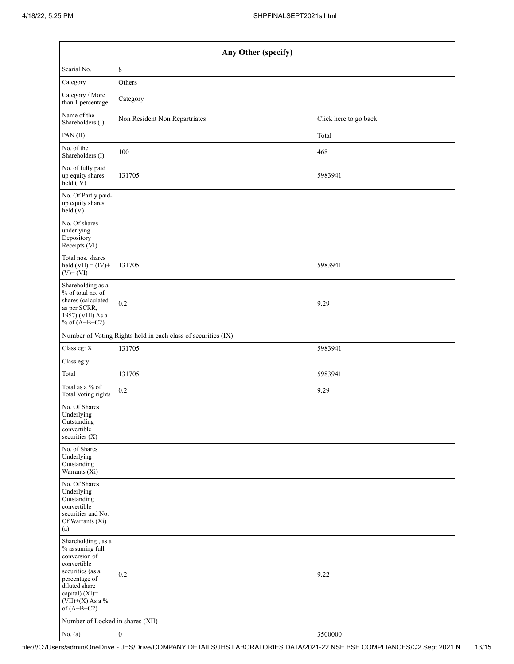| Any Other (specify)                                                                                                                                                                  |                                                               |                       |  |
|--------------------------------------------------------------------------------------------------------------------------------------------------------------------------------------|---------------------------------------------------------------|-----------------------|--|
| Searial No.                                                                                                                                                                          | $\,8\,$                                                       |                       |  |
| Category                                                                                                                                                                             | Others                                                        |                       |  |
| Category / More<br>than 1 percentage                                                                                                                                                 | Category                                                      |                       |  |
| Name of the<br>Shareholders (I)                                                                                                                                                      | Non Resident Non Repartriates                                 | Click here to go back |  |
| PAN(II)                                                                                                                                                                              |                                                               | Total                 |  |
| No. of the<br>Shareholders (I)                                                                                                                                                       | 100                                                           | 468                   |  |
| No. of fully paid<br>up equity shares<br>$held$ (IV)                                                                                                                                 | 131705                                                        | 5983941               |  |
| No. Of Partly paid-<br>up equity shares<br>held(V)                                                                                                                                   |                                                               |                       |  |
| No. Of shares<br>underlying<br>Depository<br>Receipts (VI)                                                                                                                           |                                                               |                       |  |
| Total nos. shares<br>held $(VII) = (IV) +$<br>$(V)$ + $(VI)$                                                                                                                         | 131705                                                        | 5983941               |  |
| Shareholding as a<br>% of total no. of<br>shares (calculated<br>as per SCRR,<br>1957) (VIII) As a<br>% of $(A+B+C2)$                                                                 | 0.2                                                           | 9.29                  |  |
|                                                                                                                                                                                      | Number of Voting Rights held in each class of securities (IX) |                       |  |
| Class eg: X                                                                                                                                                                          | 131705                                                        | 5983941               |  |
| Class eg:y                                                                                                                                                                           |                                                               |                       |  |
| Total                                                                                                                                                                                | 131705                                                        | 5983941               |  |
| Total as a % of<br><b>Total Voting rights</b>                                                                                                                                        | 0.2                                                           | 9.29                  |  |
| No. Of Shares<br>Underlying<br>Outstanding<br>convertible<br>securities (X)                                                                                                          |                                                               |                       |  |
| No. of Shares<br>Underlying<br>Outstanding<br>Warrants (Xi)                                                                                                                          |                                                               |                       |  |
| No. Of Shares<br>Underlying<br>Outstanding<br>convertible<br>securities and No.<br>Of Warrants (Xi)<br>(a)                                                                           |                                                               |                       |  |
| Shareholding, as a<br>% assuming full<br>conversion of<br>convertible<br>securities (as a<br>percentage of<br>diluted share<br>capital) (XI)=<br>$(VII)+(X)$ As a %<br>of $(A+B+C2)$ | 0.2                                                           | 9.22                  |  |
| Number of Locked in shares (XII)                                                                                                                                                     |                                                               |                       |  |
| No. (a)                                                                                                                                                                              | $\boldsymbol{0}$                                              | 3500000               |  |

file:///C:/Users/admin/OneDrive - JHS/Drive/COMPANY DETAILS/JHS LABORATORIES DATA/2021-22 NSE BSE COMPLIANCES/Q2 Sept.2021 N… 13/15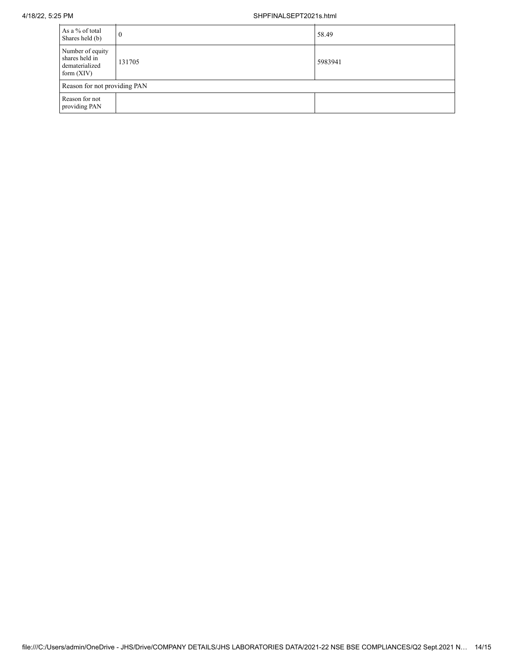| As a % of total<br>Shares held (b)                                   | $\theta$ | 58.49   |  |
|----------------------------------------------------------------------|----------|---------|--|
| Number of equity<br>shares held in<br>dematerialized<br>form $(XIV)$ | 131705   | 5983941 |  |
| Reason for not providing PAN                                         |          |         |  |
| Reason for not<br>providing PAN                                      |          |         |  |